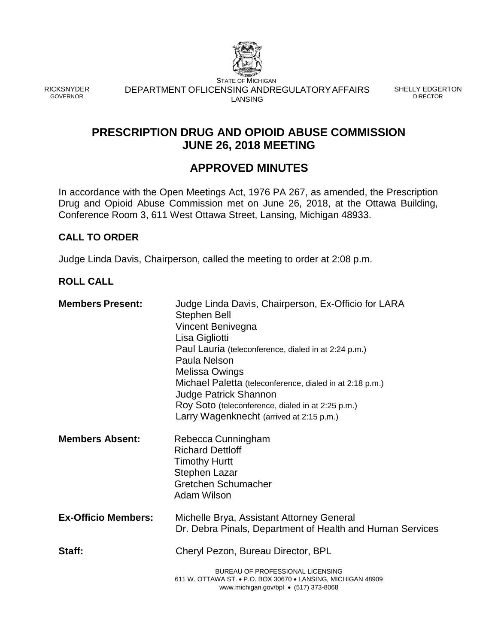

RICKSNYDER GOVERNOR

STATE OF MICHIGAN DEPARTMENT OFLICENSING ANDREGULATORYAFFAIRS SHELLY EDGERTON LANSING

DIRECTOR

# **PRESCRIPTION DRUG AND OPIOID ABUSE COMMISSION JUNE 26, 2018 MEETING**

# **APPROVED MINUTES**

In accordance with the Open Meetings Act, 1976 PA 267, as amended, the Prescription Drug and Opioid Abuse Commission met on June 26, 2018, at the Ottawa Building, Conference Room 3, 611 West Ottawa Street, Lansing, Michigan 48933.

## **CALL TO ORDER**

Judge Linda Davis, Chairperson, called the meeting to order at 2:08 p.m.

## **ROLL CALL**

| <b>Members Present:</b>    | Judge Linda Davis, Chairperson, Ex-Officio for LARA<br>Stephen Bell<br>Vincent Benivegna<br>Lisa Gigliotti<br>Paul Lauria (teleconference, dialed in at 2:24 p.m.)<br>Paula Nelson<br>Melissa Owings<br>Michael Paletta (teleconference, dialed in at 2:18 p.m.)<br><b>Judge Patrick Shannon</b><br>Roy Soto (teleconference, dialed in at 2:25 p.m.)<br>Larry Wagenknecht (arrived at 2:15 p.m.) |
|----------------------------|---------------------------------------------------------------------------------------------------------------------------------------------------------------------------------------------------------------------------------------------------------------------------------------------------------------------------------------------------------------------------------------------------|
| <b>Members Absent:</b>     | Rebecca Cunningham<br><b>Richard Dettloff</b><br><b>Timothy Hurtt</b><br>Stephen Lazar<br>Gretchen Schumacher<br>Adam Wilson                                                                                                                                                                                                                                                                      |
| <b>Ex-Officio Members:</b> | Michelle Brya, Assistant Attorney General<br>Dr. Debra Pinals, Department of Health and Human Services                                                                                                                                                                                                                                                                                            |
| Staff:                     | Cheryl Pezon, Bureau Director, BPL                                                                                                                                                                                                                                                                                                                                                                |
|                            | BUREAU OF PROFESSIONAL LICENSING<br>611 W. OTTAWA ST. • P.O. BOX 30670 • LANSING, MICHIGAN 48909<br>www.michigan.gov/bpl $\bullet$ (517) 373-8068                                                                                                                                                                                                                                                 |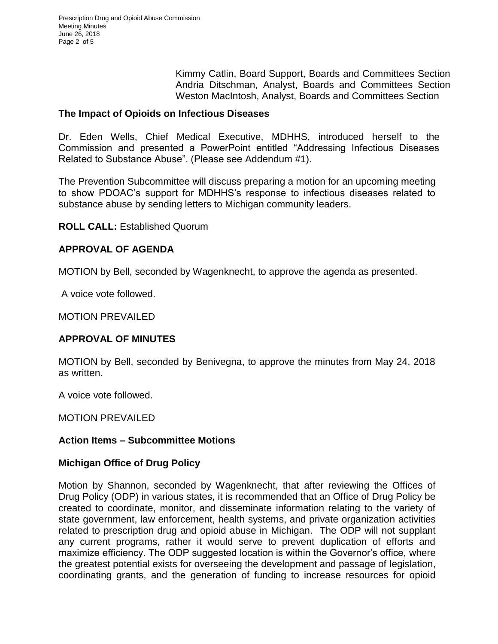Kimmy Catlin, Board Support, Boards and Committees Section Andria Ditschman, Analyst, Boards and Committees Section Weston MacIntosh, Analyst, Boards and Committees Section

## **The Impact of Opioids on Infectious Diseases**

Dr. Eden Wells, Chief Medical Executive, MDHHS, introduced herself to the Commission and presented a PowerPoint entitled "Addressing Infectious Diseases Related to Substance Abuse". (Please see Addendum #1).

The Prevention Subcommittee will discuss preparing a motion for an upcoming meeting to show PDOAC's support for MDHHS's response to infectious diseases related to substance abuse by sending letters to Michigan community leaders.

**ROLL CALL:** Established Quorum

## **APPROVAL OF AGENDA**

MOTION by Bell, seconded by Wagenknecht, to approve the agenda as presented.

A voice vote followed.

MOTION PREVAILED

## **APPROVAL OF MINUTES**

MOTION by Bell, seconded by Benivegna, to approve the minutes from May 24, 2018 as written.

A voice vote followed.

MOTION PREVAILED

## **Action Items – Subcommittee Motions**

## **Michigan Office of Drug Policy**

Motion by Shannon, seconded by Wagenknecht, that after reviewing the Offices of Drug Policy (ODP) in various states, it is recommended that an Office of Drug Policy be created to coordinate, monitor, and disseminate information relating to the variety of state government, law enforcement, health systems, and private organization activities related to prescription drug and opioid abuse in Michigan. The ODP will not supplant any current programs, rather it would serve to prevent duplication of efforts and maximize efficiency. The ODP suggested location is within the Governor's office, where the greatest potential exists for overseeing the development and passage of legislation, coordinating grants, and the generation of funding to increase resources for opioid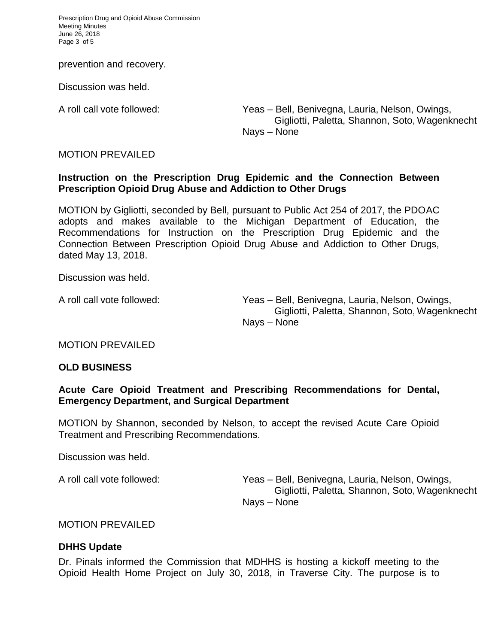Prescription Drug and Opioid Abuse Commission Meeting Minutes June 26, 2018 Page 3 of 5

prevention and recovery.

Discussion was held.

A roll call vote followed: Yeas – Bell, Benivegna, Lauria, Nelson, Owings, Gigliotti, Paletta, Shannon, Soto, Wagenknecht Nays – None

## MOTION PREVAILED

## **Instruction on the Prescription Drug Epidemic and the Connection Between Prescription Opioid Drug Abuse and Addiction to Other Drugs**

MOTION by Gigliotti, seconded by Bell, pursuant to Public Act 254 of 2017, the PDOAC adopts and makes available to the Michigan Department of Education, the Recommendations for Instruction on the Prescription Drug Epidemic and the Connection Between Prescription Opioid Drug Abuse and Addiction to Other Drugs, dated May 13, 2018.

Discussion was held.

A roll call vote followed: Yeas – Bell, Benivegna, Lauria, Nelson, Owings, Gigliotti, Paletta, Shannon, Soto, Wagenknecht Nays – None

## MOTION PREVAILED

## **OLD BUSINESS**

## **Acute Care Opioid Treatment and Prescribing Recommendations for Dental, Emergency Department, and Surgical Department**

MOTION by Shannon, seconded by Nelson, to accept the revised Acute Care Opioid Treatment and Prescribing Recommendations.

Discussion was held.

A roll call vote followed: Yeas – Bell, Benivegna, Lauria, Nelson, Owings, Gigliotti, Paletta, Shannon, Soto, Wagenknecht Nays – None

#### MOTION PREVAILED

## **DHHS Update**

Dr. Pinals informed the Commission that MDHHS is hosting a kickoff meeting to the Opioid Health Home Project on July 30, 2018, in Traverse City. The purpose is to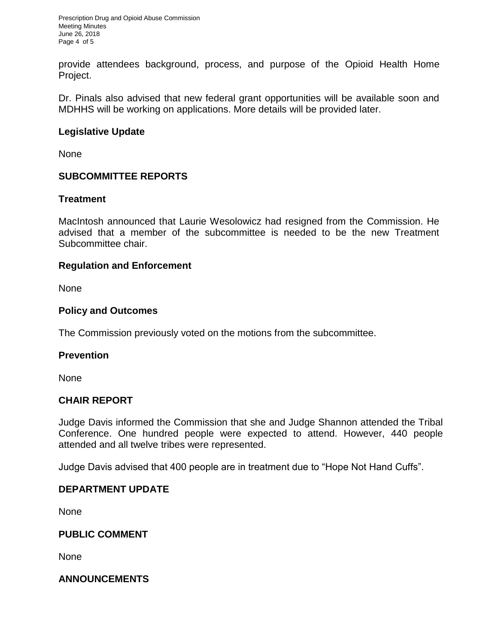Prescription Drug and Opioid Abuse Commission Meeting Minutes June 26, 2018 Page 4 of 5

provide attendees background, process, and purpose of the Opioid Health Home Project.

Dr. Pinals also advised that new federal grant opportunities will be available soon and MDHHS will be working on applications. More details will be provided later.

## **Legislative Update**

None

## **SUBCOMMITTEE REPORTS**

## **Treatment**

MacIntosh announced that Laurie Wesolowicz had resigned from the Commission. He advised that a member of the subcommittee is needed to be the new Treatment Subcommittee chair.

## **Regulation and Enforcement**

None

## **Policy and Outcomes**

The Commission previously voted on the motions from the subcommittee.

## **Prevention**

None

## **CHAIR REPORT**

Judge Davis informed the Commission that she and Judge Shannon attended the Tribal Conference. One hundred people were expected to attend. However, 440 people attended and all twelve tribes were represented.

Judge Davis advised that 400 people are in treatment due to "Hope Not Hand Cuffs".

## **DEPARTMENT UPDATE**

None

## **PUBLIC COMMENT**

None

## **ANNOUNCEMENTS**